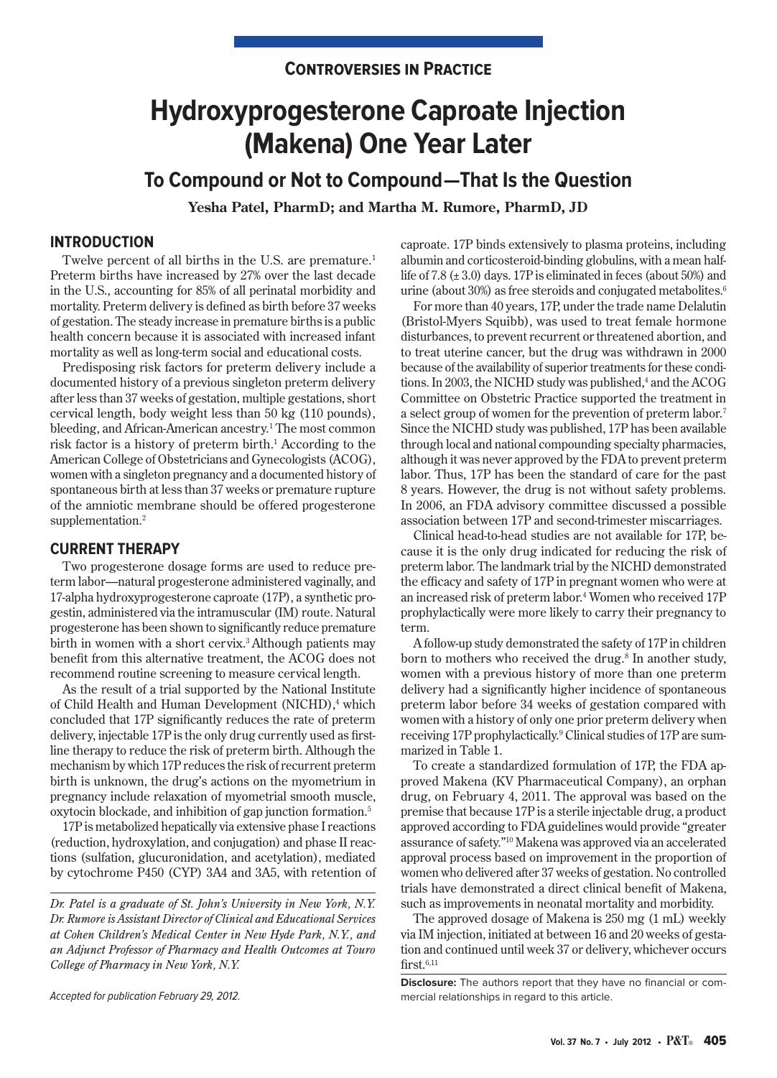# **Controversies in Practice**

# **Hydroxyprogesterone Caproate Injection (Makena) One Year Later**

**To Compound or Not to Compound—That Is the Question**

**Yesha Patel, PharmD; and Martha M. Rumore, PharmD, JD**

## **INTRODUCTION**

Twelve percent of all births in the U.S. are premature.<sup>1</sup> Preterm births have increased by 27% over the last decade in the U.S., accounting for 85% of all perinatal morbidity and mortality. Preterm delivery is defined as birth before 37 weeks of gestation. The steady increase in premature births is a public health concern because it is associated with increased infant mortality as well as long-term social and educational costs.

Predisposing risk factors for preterm delivery include a documented history of a previous singleton preterm delivery after less than 37 weeks of gestation, multiple gestations, short cervical length, body weight less than 50 kg (110 pounds), bleeding, and African-American ancestry.<sup>1</sup> The most common risk factor is a history of preterm birth.<sup>1</sup> According to the American College of Obstetricians and Gynecologists (ACOG), women with a singleton pregnancy and a documented history of spontaneous birth at less than 37 weeks or premature rupture of the amniotic membrane should be offered progesterone supplementation.<sup>2</sup>

### **CURRENT THERAPY**

Two progesterone dosage forms are used to reduce preterm labor––natural progesterone administered vaginally, and 17-alpha hydroxyprogesterone caproate (17P), a synthetic progestin, administered via the intramuscular (IM) route. Natural progesterone has been shown to significantly reduce premature birth in women with a short cervix.<sup>3</sup> Although patients may benefit from this alternative treatment, the ACOG does not recommend routine screening to measure cervical length.

As the result of a trial supported by the National Institute of Child Health and Human Development (NICHD),<sup>4</sup> which concluded that 17P significantly reduces the rate of preterm delivery, injectable 17P is the only drug currently used as firstline therapy to reduce the risk of preterm birth. Although the mechanism by which 17P reduces the risk of recurrent preterm birth is unknown, the drug's actions on the myometrium in pregnancy include relaxation of myometrial smooth muscle, oxytocin blockade, and inhibition of gap junction formation.5

17P is metabolized hepatically via extensive phase I reactions (reduction, hydroxylation, and conjugation) and phase II reactions (sulfation, glucuronidation, and acetylation), mediated by cytochrome P450 (CYP) 3A4 and 3A5, with retention of

*Dr. Patel is a graduate of St. John's University in New York, N.Y. Dr. Rumore is Assistant Director of Clinical and Educational Services at Cohen Children's Medical Center in New Hyde Park, N.Y., and an Adjunct Professor of Pharmacy and Health Outcomes at Touro College of Pharmacy in New York, N.Y.*

Accepted for publication February 29, 2012.

caproate. 17P binds extensively to plasma proteins, including albumin and corticosteroid-binding globulins, with a mean halflife of 7.8 (± 3.0) days. 17P is eliminated in feces (about 50%) and urine (about 30%) as free steroids and conjugated metabolites.<sup>6</sup>

For more than 40 years, 17P, under the trade name Delalutin (Bristol-Myers Squibb), was used to treat female hormone disturbances, to prevent recurrent or threatened abortion, and to treat uterine cancer, but the drug was withdrawn in 2000 because of the availability of superior treatments for these conditions. In 2003, the NICHD study was published,<sup>4</sup> and the ACOG Committee on Obstetric Practice supported the treatment in a select group of women for the prevention of preterm labor.7 Since the NICHD study was published, 17P has been available through local and national compounding specialty pharmacies, although it was never approved by the FDA to prevent preterm labor. Thus, 17P has been the standard of care for the past 8 years. However, the drug is not without safety problems. In 2006, an FDA advisory committee discussed a possible association between 17P and second-trimester miscarriages.

Clinical head-to-head studies are not available for 17P, because it is the only drug indicated for reducing the risk of preterm labor. The landmark trial by the NICHD demonstrated the efficacy and safety of 17P in pregnant women who were at an increased risk of preterm labor.4 Women who received 17P prophylactically were more likely to carry their pregnancy to term.

A follow-up study demonstrated the safety of 17P in children born to mothers who received the drug.<sup>8</sup> In another study, women with a previous history of more than one preterm delivery had a significantly higher incidence of spontaneous preterm labor before 34 weeks of gestation compared with women with a history of only one prior preterm delivery when receiving 17P prophylactically.9 Clinical studies of 17P are summarized in Table 1.

To create a standardized formulation of 17P, the FDA approved Makena (KV Pharmaceutical Company), an orphan drug, on February 4, 2011. The approval was based on the premise that because 17P is a sterile injectable drug, a product approved according to FDA guidelines would provide "greater assurance of safety."10 Makena was approved via an accelerated approval process based on improvement in the proportion of women who delivered after 37 weeks of gestation. No controlled trials have demonstrated a direct clinical benefit of Makena, such as improvements in neonatal mortality and morbidity.

The approved dosage of Makena is 250 mg (1 mL) weekly via IM injection, initiated at between 16 and 20 weeks of gestation and continued until week 37 or delivery, whichever occurs  $first.<sup>6,11</sup>$ 

**Disclosure:** The authors report that they have no financial or commercial relationships in regard to this article.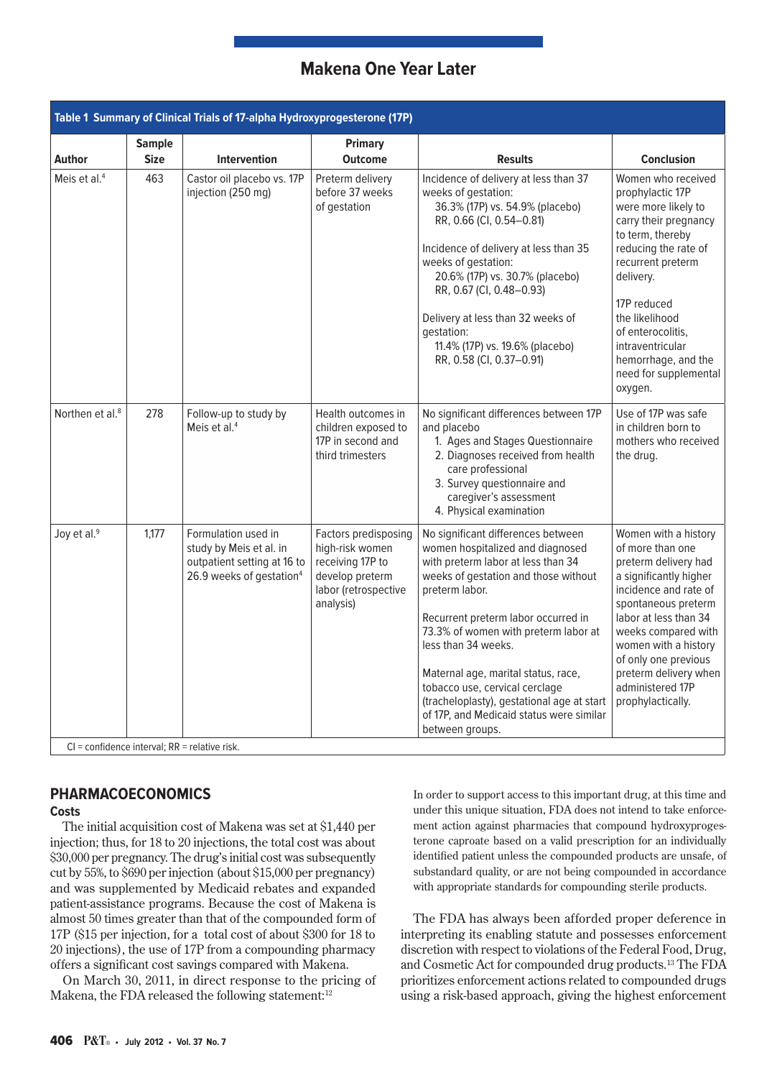| Table 1 Summary of Clinical Trials of 17-alpha Hydroxyprogesterone (17P)     |                              |                                                                                                                       |                                                                                                                     |                                                                                                                                                                                                                                                                                                                                                                                                                                                                    |                                                                                                                                                                                                                                                                                                              |
|------------------------------------------------------------------------------|------------------------------|-----------------------------------------------------------------------------------------------------------------------|---------------------------------------------------------------------------------------------------------------------|--------------------------------------------------------------------------------------------------------------------------------------------------------------------------------------------------------------------------------------------------------------------------------------------------------------------------------------------------------------------------------------------------------------------------------------------------------------------|--------------------------------------------------------------------------------------------------------------------------------------------------------------------------------------------------------------------------------------------------------------------------------------------------------------|
| <b>Author</b>                                                                | <b>Sample</b><br><b>Size</b> | <b>Intervention</b>                                                                                                   | <b>Primary</b><br><b>Outcome</b>                                                                                    | <b>Results</b>                                                                                                                                                                                                                                                                                                                                                                                                                                                     | <b>Conclusion</b>                                                                                                                                                                                                                                                                                            |
| Meis et al. $4$                                                              | 463                          | Castor oil placebo vs. 17P<br>injection (250 mg)                                                                      | Preterm delivery<br>before 37 weeks<br>of gestation                                                                 | Incidence of delivery at less than 37<br>weeks of gestation:<br>36.3% (17P) vs. 54.9% (placebo)<br>RR, 0.66 (CI, 0.54-0.81)<br>Incidence of delivery at less than 35<br>weeks of gestation:<br>20.6% (17P) vs. 30.7% (placebo)<br>RR, 0.67 (CI, 0.48-0.93)<br>Delivery at less than 32 weeks of<br>gestation:<br>11.4% (17P) vs. 19.6% (placebo)<br>RR, 0.58 (CI, 0.37-0.91)                                                                                       | Women who received<br>prophylactic 17P<br>were more likely to<br>carry their pregnancy<br>to term, thereby<br>reducing the rate of<br>recurrent preterm<br>delivery.<br>17P reduced<br>the likelihood<br>of enterocolitis.<br>intraventricular<br>hemorrhage, and the<br>need for supplemental<br>oxygen.    |
| Northen et al. <sup>8</sup>                                                  | 278                          | Follow-up to study by<br>Meis et al. $4$                                                                              | Health outcomes in<br>children exposed to<br>17P in second and<br>third trimesters                                  | No significant differences between 17P<br>and placebo<br>1. Ages and Stages Questionnaire<br>2. Diagnoses received from health<br>care professional<br>3. Survey questionnaire and<br>caregiver's assessment<br>4. Physical examination                                                                                                                                                                                                                            | Use of 17P was safe<br>in children born to<br>mothers who received<br>the drug.                                                                                                                                                                                                                              |
| Joy et al. <sup>9</sup><br>$Cl =$ confidence interval: $RR =$ relative risk. | 1,177                        | Formulation used in<br>study by Meis et al. in<br>outpatient setting at 16 to<br>26.9 weeks of gestation <sup>4</sup> | Factors predisposing<br>high-risk women<br>receiving 17P to<br>develop preterm<br>labor (retrospective<br>analysis) | No significant differences between<br>women hospitalized and diagnosed<br>with preterm labor at less than 34<br>weeks of gestation and those without<br>preterm labor.<br>Recurrent preterm labor occurred in<br>73.3% of women with preterm labor at<br>less than 34 weeks.<br>Maternal age, marital status, race,<br>tobacco use, cervical cerclage<br>(tracheloplasty), gestational age at start<br>of 17P, and Medicaid status were similar<br>between groups. | Women with a history<br>of more than one<br>preterm delivery had<br>a significantly higher<br>incidence and rate of<br>spontaneous preterm<br>labor at less than 34<br>weeks compared with<br>women with a history<br>of only one previous<br>preterm delivery when<br>administered 17P<br>prophylactically. |

## **PHARMACOECONOMICS**

## **Costs**

The initial acquisition cost of Makena was set at \$1,440 per injection; thus, for 18 to 20 injections, the total cost was about \$30,000 per pregnancy. The drug's initial cost was subsequently cut by 55%, to \$690 per injection (about \$15,000 per pregnancy) and was supplemented by Medicaid rebates and expanded patient-assistance programs. Because the cost of Makena is almost 50 times greater than that of the compounded form of 17P (\$15 per injection, for a total cost of about \$300 for 18 to 20 injections), the use of 17P from a compounding pharmacy offers a significant cost savings compared with Makena.

On March 30, 2011, in direct response to the pricing of Makena, the FDA released the following statement:<sup>12</sup>

In order to support access to this important drug, at this time and under this unique situation, FDA does not intend to take enforcement action against pharmacies that compound hydroxyprogesterone caproate based on a valid prescription for an individually identified patient unless the compounded products are unsafe, of substandard quality, or are not being compounded in accordance with appropriate standards for compounding sterile products.

The FDA has always been afforded proper deference in interpreting its enabling statute and possesses enforcement discretion with respect to violations of the Federal Food, Drug, and Cosmetic Act for compounded drug products.13 The FDA prioritizes enforcement actions related to compounded drugs using a risk-based approach, giving the highest enforcement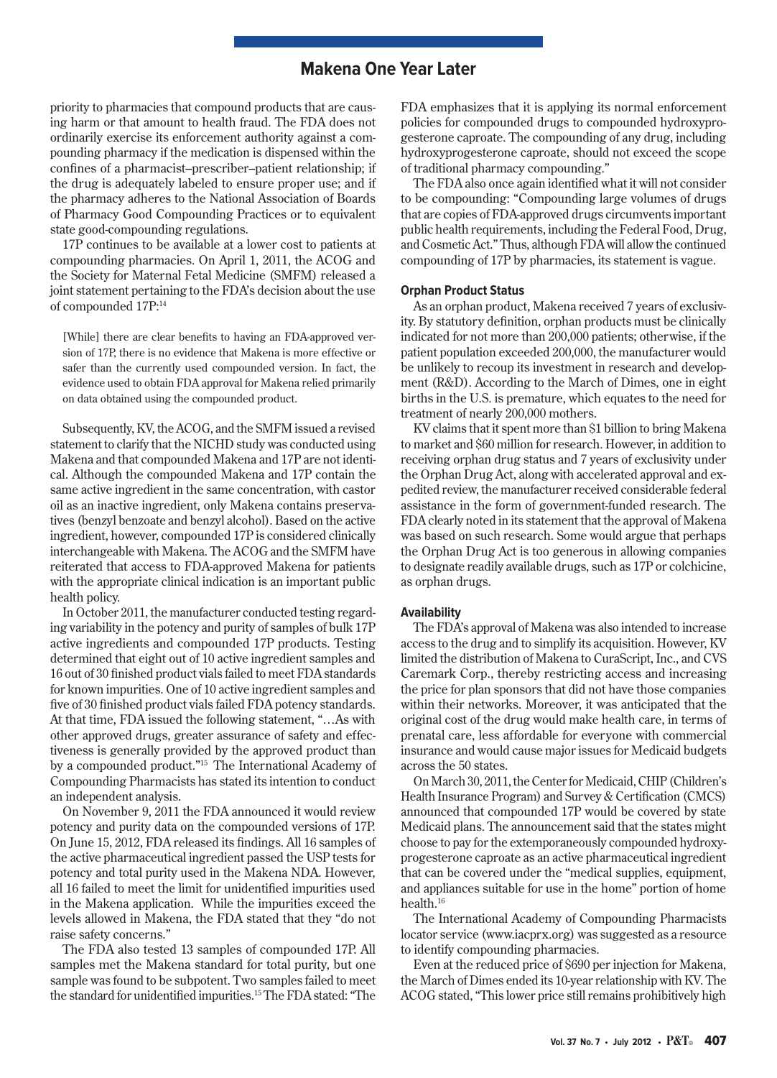priority to pharmacies that compound products that are causing harm or that amount to health fraud. The FDA does not ordinarily exercise its enforcement authority against a compounding pharmacy if the medication is dispensed within the confines of a pharmacist–prescriber–patient relationship; if the drug is adequately labeled to ensure proper use; and if the pharmacy adheres to the National Association of Boards of Pharmacy Good Compounding Practices or to equivalent state good-compounding regulations.

17P continues to be available at a lower cost to patients at compounding pharmacies. On April 1, 2011, the ACOG and the Society for Maternal Fetal Medicine (SMFM) released a joint statement pertaining to the FDA's decision about the use of compounded 17P:14

[While] there are clear benefits to having an FDA-approved version of 17P, there is no evidence that Makena is more effective or safer than the currently used compounded version. In fact, the evidence used to obtain FDA approval for Makena relied primarily on data obtained using the compounded product.

Subsequently, KV, the ACOG, and the SMFM issued a revised statement to clarify that the NICHD study was conducted using Makena and that compounded Makena and 17P are not identical. Although the compounded Makena and 17P contain the same active ingredient in the same concentration, with castor oil as an inactive ingredient, only Makena contains preservatives (benzyl benzoate and benzyl alcohol). Based on the active ingredient, however, compounded 17P is considered clinically interchangeable with Makena. The ACOG and the SMFM have reiterated that access to FDA-approved Makena for patients with the appropriate clinical indication is an important public health policy.

In October 2011, the manufacturer conducted testing regarding variability in the potency and purity of samples of bulk 17P active ingredients and compounded 17P products. Testing determined that eight out of 10 active ingredient samples and 16 out of 30 finished product vials failed to meet FDA standards for known impurities. One of 10 active ingredient samples and five of 30 finished product vials failed FDA potency standards. At that time, FDA issued the following statement, "…As with other approved drugs, greater assurance of safety and effectiveness is generally provided by the approved product than by a compounded product."15 The International Academy of Compounding Pharmacists has stated its intention to conduct an independent analysis.

On November 9, 2011 the FDA announced it would review potency and purity data on the compounded versions of 17P. On June 15, 2012, FDA released its findings. All 16 samples of the active pharmaceutical ingredient passed the USP tests for potency and total purity used in the Makena NDA. However, all 16 failed to meet the limit for unidentified impurities used in the Makena application. While the impurities exceed the levels allowed in Makena, the FDA stated that they "do not raise safety concerns."

The FDA also tested 13 samples of compounded 17P. All samples met the Makena standard for total purity, but one sample was found to be subpotent. Two samples failed to meet the standard for unidentified impurities.15 The FDA stated: "The

FDA emphasizes that it is applying its normal enforcement policies for compounded drugs to compounded hydroxyprogesterone caproate. The compounding of any drug, including hydroxyprogesterone caproate, should not exceed the scope of traditional pharmacy compounding."

The FDA also once again identified what it will not consider to be compounding: "Compounding large volumes of drugs that are copies of FDA-approved drugs circumvents important public health requirements, including the Federal Food, Drug, and Cosmetic Act." Thus, although FDA will allow the continued compounding of 17P by pharmacies, its statement is vague.

#### **Orphan Product Status**

As an orphan product, Makena received 7 years of exclusivity. By statutory definition, orphan products must be clinically indicated for not more than 200,000 patients; otherwise, if the patient population exceeded 200,000, the manufacturer would be unlikely to recoup its investment in research and development (R&D). According to the March of Dimes, one in eight births in the U.S. is premature, which equates to the need for treatment of nearly 200,000 mothers.

KV claims that it spent more than \$1 billion to bring Makena to market and \$60 million for research. However, in addition to receiving orphan drug status and 7 years of exclusivity under the Orphan Drug Act, along with accelerated approval and expedited review, the manufacturer received considerable federal assistance in the form of government-funded research. The FDA clearly noted in its statement that the approval of Makena was based on such research. Some would argue that perhaps the Orphan Drug Act is too generous in allowing companies to designate readily available drugs, such as 17P or colchicine, as orphan drugs.

#### **Availability**

The FDA's approval of Makena was also intended to increase access to the drug and to simplify its acquisition. However, KV limited the distribution of Makena to CuraScript, Inc., and CVS Caremark Corp., thereby restricting access and increasing the price for plan sponsors that did not have those companies within their networks. Moreover, it was anticipated that the original cost of the drug would make health care, in terms of prenatal care, less affordable for everyone with commercial insurance and would cause major issues for Medicaid budgets across the 50 states.

On March 30, 2011, the Center for Medicaid, CHIP (Children's Health Insurance Program) and Survey & Certification (CMCS) announced that compounded 17P would be covered by state Medicaid plans. The announcement said that the states might choose to pay for the extemporaneously compounded hydroxyprogesterone caproate as an active pharmaceutical ingredient that can be covered under the "medical supplies, equipment, and appliances suitable for use in the home" portion of home health.16

The International Academy of Compounding Pharmacists locator service (www.iacprx.org) was suggested as a resource to identify compounding pharmacies.

Even at the reduced price of \$690 per injection for Makena, the March of Dimes ended its 10-year relationship with KV. The ACOG stated, "This lower price still remains prohibitively high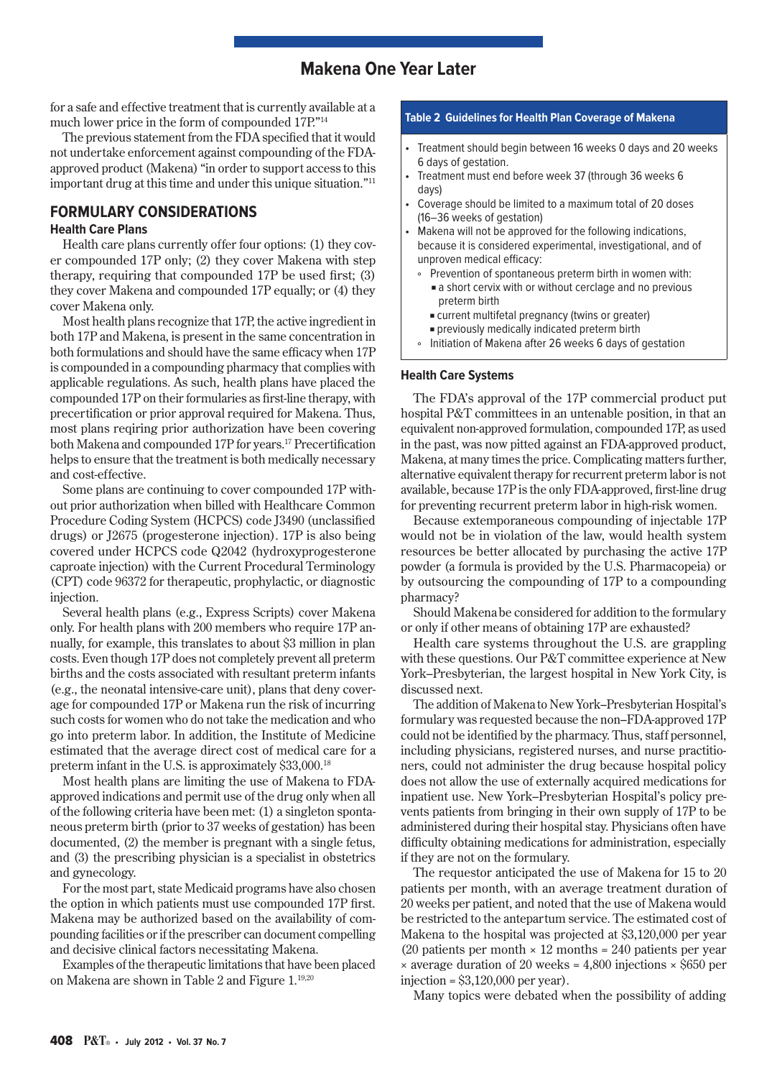for a safe and effective treatment that is currently available at a much lower price in the form of compounded 17P."14

The previous statement from the FDA specified that it would not undertake enforcement against compounding of the FDAapproved product (Makena) "in order to support access to this important drug at this time and under this unique situation."11

## **FORMULARY CONSIDERATIONS**

#### **Health Care Plans**

Health care plans currently offer four options: (1) they cover compounded 17P only; (2) they cover Makena with step therapy, requiring that compounded 17P be used first; (3) they cover Makena and compounded 17P equally; or (4) they cover Makena only.

Most health plans recognize that 17P, the active ingredient in both 17P and Makena, is present in the same concentration in both formulations and should have the same efficacy when 17P is compounded in a compounding pharmacy that complies with applicable regulations. As such, health plans have placed the compounded 17P on their formularies as first-line therapy, with precertification or prior approval required for Makena. Thus, most plans reqiring prior authorization have been covering both Makena and compounded 17P for years.17 Precertification helps to ensure that the treatment is both medically necessary and cost-effective.

Some plans are continuing to cover compounded 17P without prior authorization when billed with Healthcare Common Procedure Coding System (HCPCS) code J3490 (unclassified drugs) or J2675 (progesterone injection). 17P is also being covered under HCPCS code Q2042 (hydroxyprogesterone caproate injection) with the Current Procedural Terminology (CPT) code 96372 for therapeutic, prophylactic, or diagnostic injection.

Several health plans (e.g., Express Scripts) cover Makena only. For health plans with 200 members who require 17P annually, for example, this translates to about \$3 million in plan costs. Even though 17P does not completely prevent all preterm births and the costs associated with resultant preterm infants (e.g., the neonatal intensive-care unit), plans that deny coverage for compounded 17P or Makena run the risk of incurring such costs for women who do not take the medication and who go into preterm labor. In addition, the Institute of Medicine estimated that the average direct cost of medical care for a preterm infant in the U.S. is approximately \$33,000.18

Most health plans are limiting the use of Makena to FDAapproved indications and permit use of the drug only when all of the following criteria have been met: (1) a singleton spontaneous preterm birth (prior to 37 weeks of gestation) has been documented, (2) the member is pregnant with a single fetus, and (3) the prescribing physician is a specialist in obstetrics and gynecology.

For the most part, state Medicaid programs have also chosen the option in which patients must use compounded 17P first. Makena may be authorized based on the availability of compounding facilities or if the prescriber can document compelling and decisive clinical factors necessitating Makena.

Examples of the therapeutic limitations that have been placed on Makena are shown in Table 2 and Figure 1.19,20

#### **Table 2 Guidelines for Health Plan Coverage of Makena**

- Treatment should begin between 16 weeks 0 days and 20 weeks 6 days of gestation.
- • Treatment must end before week 37 (through 36 weeks 6 days)
- Coverage should be limited to a maximum total of 20 doses (16–36 weeks of gestation)
- Makena will not be approved for the following indications, because it is considered experimental, investigational, and of unproven medical efficacy:
	- Prevention of spontaneous preterm birth in women with:  $\blacksquare$  a short cervix with or without cerclage and no previous preterm birth
	- **Example 2** current multifetal pregnancy (twins or greater)
	- <sup>n</sup> previously medically indicated preterm birth
	- ° Initiation of Makena after 26 weeks 6 days of gestation

#### **Health Care Systems**

The FDA's approval of the 17P commercial product put hospital P&T committees in an untenable position, in that an equivalent non-approved formulation, compounded 17P, as used in the past, was now pitted against an FDA-approved product, Makena, at many times the price. Complicating matters further, alternative equivalent therapy for recurrent preterm labor is not available, because 17P is the only FDA-approved, first-line drug for preventing recurrent preterm labor in high-risk women.

Because extemporaneous compounding of injectable 17P would not be in violation of the law, would health system resources be better allocated by purchasing the active 17P powder (a formula is provided by the U.S. Pharmacopeia) or by outsourcing the compounding of 17P to a compounding pharmacy?

Should Makenabe considered for addition to the formulary or only if other means of obtaining 17P are exhausted?

Health care systems throughout the U.S. are grappling with these questions. Our P&T committee experience at New York–Presbyterian, the largest hospital in New York City, is discussed next.

The addition of Makena to New York–Presbyterian Hospital's formulary was requested because the non–FDA-approved 17P could not be identified by the pharmacy. Thus, staff personnel, including physicians, registered nurses, and nurse practitioners, could not administer the drug because hospital policy does not allow the use of externally acquired medications for inpatient use. New York–Presbyterian Hospital's policy prevents patients from bringing in their own supply of 17P to be administered during their hospital stay. Physicians often have difficulty obtaining medications for administration, especially if they are not on the formulary.

The requestor anticipated the use of Makena for 15 to 20 patients per month, with an average treatment duration of 20 weeks per patient, and noted that the use of Makena would be restricted to the antepartum service. The estimated cost of Makena to the hospital was projected at \$3,120,000 per year (20 patients per month  $\times$  12 months = 240 patients per year  $\times$  average duration of 20 weeks = 4,800 injections  $\times$  \$650 per injection =  $$3,120,000$  per year).

Many topics were debated when the possibility of adding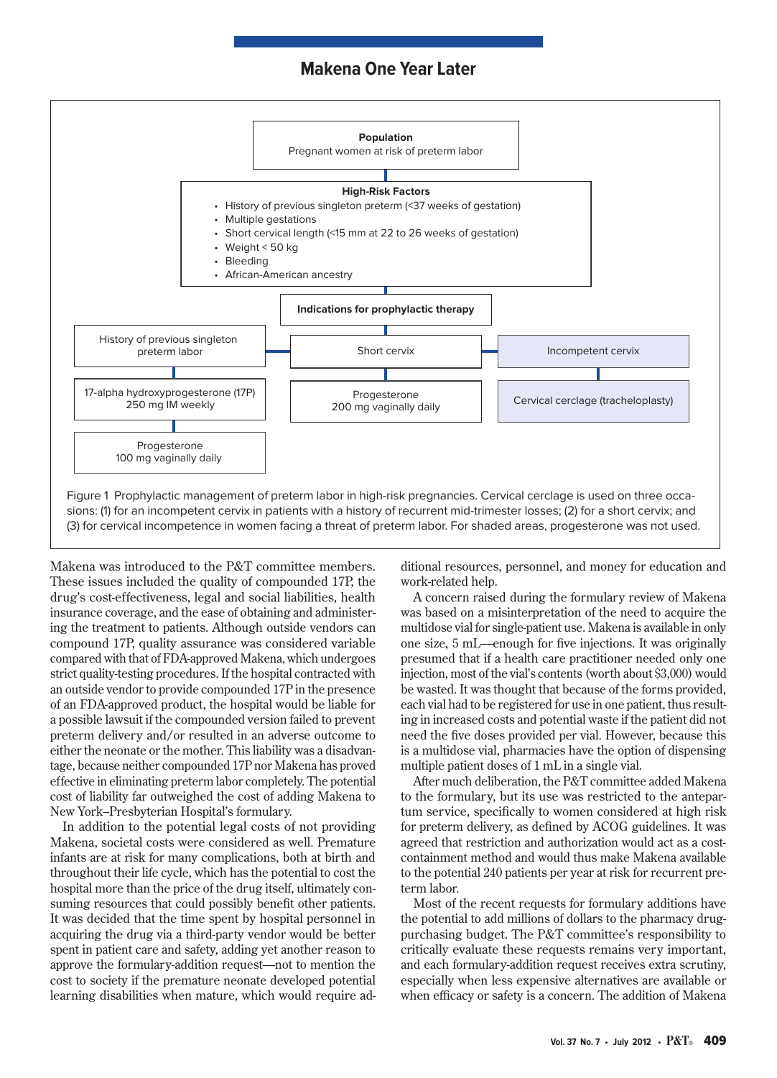

Makena was introduced to the P&T committee members. These issues included the quality of compounded 17P, the drug's cost-effectiveness, legal and social liabilities, health insurance coverage, and the ease of obtaining and administering the treatment to patients. Although outside vendors can compound 17P, quality assurance was considered variable compared with that of FDA-approved Makena, which undergoes strict quality-testing procedures. If the hospital contracted with an outside vendor to provide compounded 17P in the presence of an FDA-approved product, the hospital would be liable for a possible lawsuit if the compounded version failed to prevent preterm delivery and/or resulted in an adverse outcome to either the neonate or the mother. This liability was a disadvantage, because neither compounded 17P nor Makena has proved effective in eliminating preterm labor completely. The potential cost of liability far outweighed the cost of adding Makena to New York–Presbyterian Hospital's formulary.

In addition to the potential legal costs of not providing Makena, societal costs were considered as well. Premature infants are at risk for many complications, both at birth and throughout their life cycle, which has the potential to cost the hospital more than the price of the drug itself, ultimately consuming resources that could possibly benefit other patients. It was decided that the time spent by hospital personnel in acquiring the drug via a third-party vendor would be better spent in patient care and safety, adding yet another reason to approve the formulary-addition request––not to mention the cost to society if the premature neonate developed potential learning disabilities when mature, which would require additional resources, personnel, and money for education and work-related help.

A concern raised during the formulary review of Makena was based on a misinterpretation of the need to acquire the multidose vial for single-patient use. Makena is available in only one size, 5 mL––enough for five injections. It was originally presumed that if a health care practitioner needed only one injection, most of the vial's contents (worth about \$3,000) would be wasted. It was thought that because of the forms provided, each vial had to be registered for use in one patient, thus resulting in increased costs and potential waste if the patient did not need the five doses provided per vial. However, because this is a multidose vial, pharmacies have the option of dispensing multiple patient doses of 1 mL in a single vial.

After much deliberation, the P&T committee added Makena to the formulary, but its use was restricted to the antepartum service, specifically to women considered at high risk for preterm delivery, as defined by ACOG guidelines. It was agreed that restriction and authorization would act as a costcontainment method and would thus make Makena available to the potential 240 patients per year at risk for recurrent preterm labor.

Most of the recent requests for formulary additions have the potential to add millions of dollars to the pharmacy drugpurchasing budget. The P&T committee's responsibility to critically evaluate these requests remains very important, and each formulary-addition request receives extra scrutiny, especially when less expensive alternatives are available or when efficacy or safety is a concern. The addition of Makena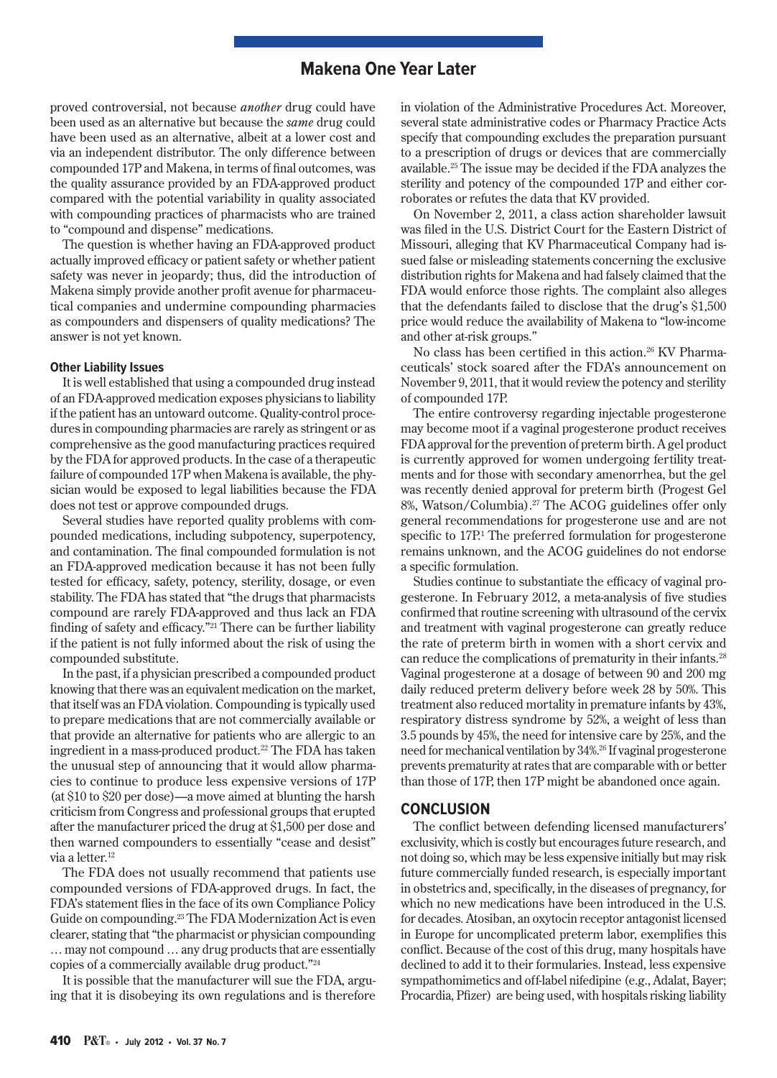proved controversial, not because *another* drug could have been used as an alternative but because the *same* drug could have been used as an alternative, albeit at a lower cost and via an independent distributor. The only difference between compounded 17P and Makena, in terms of final outcomes, was the quality assurance provided by an FDA-approved product compared with the potential variability in quality associated with compounding practices of pharmacists who are trained to "compound and dispense" medications.

The question is whether having an FDA-approved product actually improved efficacy or patient safety or whether patient safety was never in jeopardy; thus, did the introduction of Makena simply provide another profit avenue for pharmaceutical companies and undermine compounding pharmacies as compounders and dispensers of quality medications? The answer is not yet known.

#### **Other Liability Issues**

It is well established that using a compounded drug instead of an FDA-approved medication exposes physicians to liability if the patient has an untoward outcome. Quality-control procedures in compounding pharmacies are rarely as stringent or as comprehensive as the good manufacturing practices required by the FDA for approved products. In the case of a therapeutic failure of compounded 17P when Makena is available, the physician would be exposed to legal liabilities because the FDA does not test or approve compounded drugs.

Several studies have reported quality problems with compounded medications, including subpotency, superpotency, and contamination. The final compounded formulation is not an FDA-approved medication because it has not been fully tested for efficacy, safety, potency, sterility, dosage, or even stability. The FDA has stated that "the drugs that pharmacists compound are rarely FDA-approved and thus lack an FDA finding of safety and efficacy."21 There can be further liability if the patient is not fully informed about the risk of using the compounded substitute.

In the past, if a physician prescribed a compounded product knowing that there was an equivalent medication on the market, that itself was an FDA violation. Compounding is typically used to prepare medications that are not commercially available or that provide an alternative for patients who are allergic to an ingredient in a mass-produced product.<sup>22</sup> The FDA has taken the unusual step of announcing that it would allow pharmacies to continue to produce less expensive versions of 17P (at \$10 to \$20 per dose)––a move aimed at blunting the harsh criticism from Congress and professional groups that erupted after the manufacturer priced the drug at \$1,500 per dose and then warned compounders to essentially "cease and desist" via a letter.<sup>12</sup>

The FDA does not usually recommend that patients use compounded versions of FDA-approved drugs. In fact, the FDA's statement flies in the face of its own Compliance Policy Guide on compounding.23 The FDA Modernization Act is even clearer, stating that "the pharmacist or physician compounding … may not compound … any drug products that are essentially copies of a commercially available drug product."24

It is possible that the manufacturer will sue the FDA, arguing that it is disobeying its own regulations and is therefore in violation of the Administrative Procedures Act. Moreover, several state administrative codes or Pharmacy Practice Acts specify that compounding excludes the preparation pursuant to a prescription of drugs or devices that are commercially available.25 The issue may be decided if the FDA analyzes the sterility and potency of the compounded 17P and either corroborates or refutes the data that KV provided.

On November 2, 2011, a class action shareholder lawsuit was filed in the U.S. District Court for the Eastern District of Missouri, alleging that KV Pharmaceutical Company had issued false or misleading statements concerning the exclusive distribution rights for Makena and had falsely claimed that the FDA would enforce those rights. The complaint also alleges that the defendants failed to disclose that the drug's \$1,500 price would reduce the availability of Makena to "low-income and other at-risk groups."

No class has been certified in this action.<sup>26</sup> KV Pharmaceuticals' stock soared after the FDA's announcement on November 9, 2011, that it would review the potency and sterility of compounded 17P.

The entire controversy regarding injectable progesterone may become moot if a vaginal progesterone product receives FDA approval for the prevention of preterm birth. A gel product is currently approved for women undergoing fertility treatments and for those with secondary amenorrhea, but the gel was recently denied approval for preterm birth (Progest Gel 8%, Watson/Columbia).<sup>27</sup> The ACOG guidelines offer only general recommendations for progesterone use and are not specific to 17P.<sup>1</sup> The preferred formulation for progesterone remains unknown, and the ACOG guidelines do not endorse a specific formulation.

Studies continue to substantiate the efficacy of vaginal progesterone. In February 2012, a meta-analysis of five studies confirmed that routine screening with ultrasound of the cervix and treatment with vaginal progesterone can greatly reduce the rate of preterm birth in women with a short cervix and can reduce the complications of prematurity in their infants.<sup>28</sup> Vaginal progesterone at a dosage of between 90 and 200 mg daily reduced preterm delivery before week 28 by 50%. This treatment also reduced mortality in premature infants by 43%, respiratory distress syndrome by 52%, a weight of less than 3.5 pounds by 45%, the need for intensive care by 25%, and the need for mechanical ventilation by 34%.26 If vaginal progesterone prevents prematurity at rates that are comparable with or better than those of 17P, then 17P might be abandoned once again.

## **CONCLUSION**

The conflict between defending licensed manufacturers' exclusivity, which is costly but encourages future research, and not doing so, which may be less expensive initially but may risk future commercially funded research, is especially important in obstetrics and, specifically, in the diseases of pregnancy, for which no new medications have been introduced in the U.S. for decades. Atosiban, an oxytocin receptor antagonist licensed in Europe for uncomplicated preterm labor, exemplifies this conflict. Because of the cost of this drug, many hospitals have declined to add it to their formularies. Instead, less expensive sympathomimetics and off-label nifedipine (e.g., Adalat, Bayer; Procardia, Pfizer) are being used, with hospitals risking liability